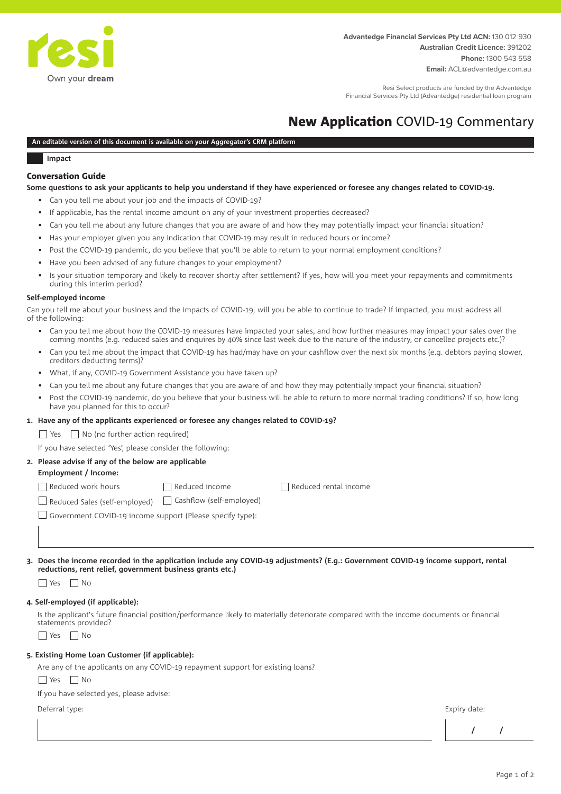

Resi Select products are funded by the Advantedge Financial Services Pty Ltd (Advantedge) residential loan program

# New Application COVID-19 Commentary

# **An editable version of this document is available on your Aggregator's CRM platform**

# **Impact**

## Conversation Guide

#### **Some questions to ask your applicants to help you understand if they have experienced or foresee any changes related to COVID-19.**

- Can you tell me about your job and the impacts of COVID-19?
- If applicable, has the rental income amount on any of your investment properties decreased?
- Can you tell me about any future changes that you are aware of and how they may potentially impact your financial situation?
- Has your employer given you any indication that COVID-19 may result in reduced hours or income?
- Post the COVID-19 pandemic, do you believe that you'll be able to return to your normal employment conditions?
- Have you been advised of any future changes to your employment?
- Is your situation temporary and likely to recover shortly after settlement? If yes, how will you meet your repayments and commitments during this interim period?

#### **Self-employed income**

Can you tell me about your business and the impacts of COVID-19, will you be able to continue to trade? If impacted, you must address all of the following:

- Can you tell me about how the COVID-19 measures have impacted your sales, and how further measures may impact your sales over the coming months (e.g. reduced sales and enquires by 40% since last week due to the nature of the industry, or cancelled projects etc.)?
- Can you tell me about the impact that COVID-19 has had/may have on your cashflow over the next six months (e.g. debtors paying slower, creditors deducting terms)?
- What, if any, COVID-19 Government Assistance you have taken up?
- Can you tell me about any future changes that you are aware of and how they may potentially impact your financial situation?
- Post the COVID-19 pandemic, do you believe that your business will be able to return to more normal trading conditions? If so, how long have you planned for this to occur?

#### **1. Have any of the applicants experienced or foresee any changes related to COVID-19?**

 $\Box$  Yes  $\Box$  No (no further action required)

If you have selected 'Yes', please consider the following:

## **2. Please advise if any of the below are applicable**

**Employment / Income:**

 $\Box$  Reduced work hours  $\Box$  Reduced income  $\Box$  Reduced rental income

 $\Box$  Reduced Sales (self-employed)  $\Box$  Cashflow (self-employed)

 $\Box$  Government COVID-19 income support (Please specify type):

**3. Does the income recorded in the application include any COVID-19 adjustments? (E.g.: Government COVID-19 income support, rental reductions, rent relief, government business grants etc.)**

■ Yes ■ No

#### **4. Self-employed (if applicable):**

Is the applicant's future financial position/performance likely to materially deteriorate compared with the income documents or financial statements provided?

 $\Box$  Yes  $\Box$  No

# **5. Existing Home Loan Customer (if applicable):**

Are any of the applicants on any COVID-19 repayment support for existing loans?

 $\Box$  Yes  $\Box$  No

If you have selected yes, please advise:

Deferral type: Expiry date:

 **/ /**